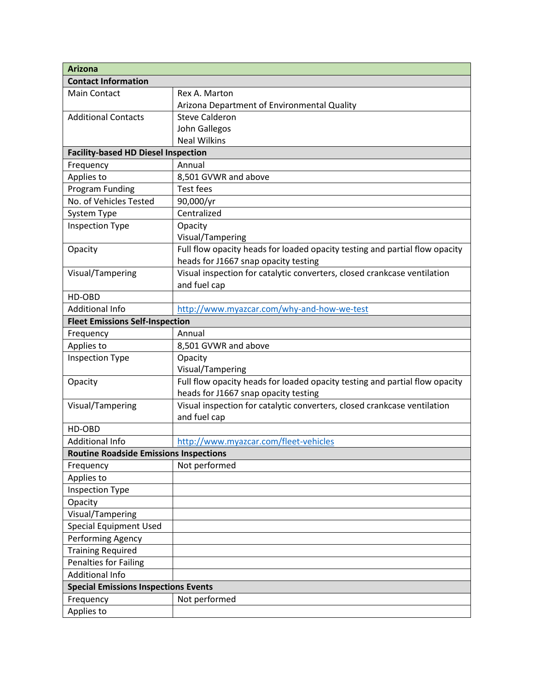| <b>Arizona</b>                                |                                                                             |  |
|-----------------------------------------------|-----------------------------------------------------------------------------|--|
| <b>Contact Information</b>                    |                                                                             |  |
| Main Contact                                  | Rex A. Marton                                                               |  |
|                                               | Arizona Department of Environmental Quality                                 |  |
| <b>Additional Contacts</b>                    | <b>Steve Calderon</b>                                                       |  |
|                                               | John Gallegos                                                               |  |
|                                               | <b>Neal Wilkins</b>                                                         |  |
| <b>Facility-based HD Diesel Inspection</b>    |                                                                             |  |
| Frequency                                     | Annual                                                                      |  |
| Applies to                                    | 8,501 GVWR and above                                                        |  |
| Program Funding                               | <b>Test fees</b>                                                            |  |
| No. of Vehicles Tested                        | 90,000/yr                                                                   |  |
| System Type                                   | Centralized                                                                 |  |
| <b>Inspection Type</b>                        | Opacity                                                                     |  |
|                                               | Visual/Tampering                                                            |  |
| Opacity                                       | Full flow opacity heads for loaded opacity testing and partial flow opacity |  |
|                                               | heads for J1667 snap opacity testing                                        |  |
| Visual/Tampering                              | Visual inspection for catalytic converters, closed crankcase ventilation    |  |
|                                               | and fuel cap                                                                |  |
| HD-OBD                                        |                                                                             |  |
| <b>Additional Info</b>                        | http://www.myazcar.com/why-and-how-we-test                                  |  |
| <b>Fleet Emissions Self-Inspection</b>        |                                                                             |  |
| Frequency                                     | Annual                                                                      |  |
| Applies to                                    | 8,501 GVWR and above                                                        |  |
| <b>Inspection Type</b>                        | Opacity                                                                     |  |
|                                               | Visual/Tampering                                                            |  |
| Opacity                                       | Full flow opacity heads for loaded opacity testing and partial flow opacity |  |
|                                               | heads for J1667 snap opacity testing                                        |  |
| Visual/Tampering                              | Visual inspection for catalytic converters, closed crankcase ventilation    |  |
|                                               | and fuel cap                                                                |  |
| HD-OBD                                        |                                                                             |  |
| <b>Additional Info</b>                        | http://www.myazcar.com/fleet-vehicles                                       |  |
| <b>Routine Roadside Emissions Inspections</b> |                                                                             |  |
| Frequency                                     | Not performed                                                               |  |
| Applies to                                    |                                                                             |  |
| <b>Inspection Type</b>                        |                                                                             |  |
| Opacity                                       |                                                                             |  |
| Visual/Tampering                              |                                                                             |  |
| <b>Special Equipment Used</b>                 |                                                                             |  |
| Performing Agency                             |                                                                             |  |
| <b>Training Required</b>                      |                                                                             |  |
| Penalties for Failing                         |                                                                             |  |
| <b>Additional Info</b>                        |                                                                             |  |
| <b>Special Emissions Inspections Events</b>   |                                                                             |  |
| Frequency                                     | Not performed                                                               |  |
| Applies to                                    |                                                                             |  |